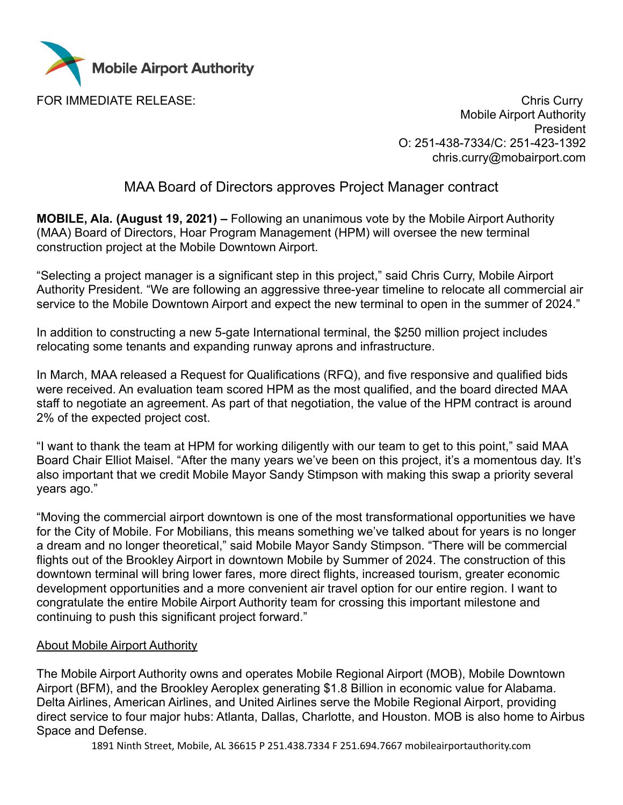

FOR IMMEDIATE RELEASE: Chris Curry Chris Curry Mobile Airport Authority President O: 251-438-7334/C: 251-423-1392 chris.curry@mobairport.com

## MAA Board of Directors approves Project Manager contract

**MOBILE, Ala. (August 19, 2021) –** Following an unanimous vote by the Mobile Airport Authority (MAA) Board of Directors, Hoar Program Management (HPM) will oversee the new terminal construction project at the Mobile Downtown Airport.

"Selecting a project manager is a significant step in this project," said Chris Curry, Mobile Airport Authority President. "We are following an aggressive three-year timeline to relocate all commercial air service to the Mobile Downtown Airport and expect the new terminal to open in the summer of 2024."

In addition to constructing a new 5-gate International terminal, the \$250 million project includes relocating some tenants and expanding runway aprons and infrastructure.

In March, MAA released a Request for Qualifications (RFQ), and five responsive and qualified bids were received. An evaluation team scored HPM as the most qualified, and the board directed MAA staff to negotiate an agreement. As part of that negotiation, the value of the HPM contract is around 2% of the expected project cost.

"I want to thank the team at HPM for working diligently with our team to get to this point," said MAA Board Chair Elliot Maisel. "After the many years we've been on this project, it's a momentous day. It's also important that we credit Mobile Mayor Sandy Stimpson with making this swap a priority several years ago."

"Moving the commercial airport downtown is one of the most transformational opportunities we have for the City of Mobile. For Mobilians, this means something we've talked about for years is no longer a dream and no longer theoretical," said Mobile Mayor Sandy Stimpson. "There will be commercial flights out of the Brookley Airport in downtown Mobile by Summer of 2024. The construction of this downtown terminal will bring lower fares, more direct flights, increased tourism, greater economic development opportunities and a more convenient air travel option for our entire region. I want to congratulate the entire Mobile Airport Authority team for crossing this important milestone and continuing to push this significant project forward."

## About Mobile Airport Authority

The Mobile Airport Authority owns and operates Mobile Regional Airport (MOB), Mobile Downtown Airport (BFM), and the Brookley Aeroplex generating \$1.8 Billion in economic value for Alabama. Delta Airlines, American Airlines, and United Airlines serve the Mobile Regional Airport, providing direct service to four major hubs: Atlanta, Dallas, Charlotte, and Houston. MOB is also home to Airbus Space and Defense.

1891 Ninth Street, Mobile, AL 36615 P 251.438.7334 F 251.694.7667 mobileairportauthority.com